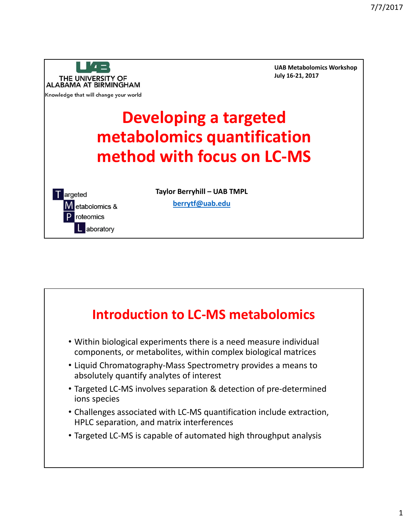

**UAB Metabolomics Workshop July 16‐21, 2017**

# **Developing a targeted metabolomics quantification method with focus on LC‐MS**



**Taylor Berryhill – UAB TMPL**

**berrytf@uab.edu**

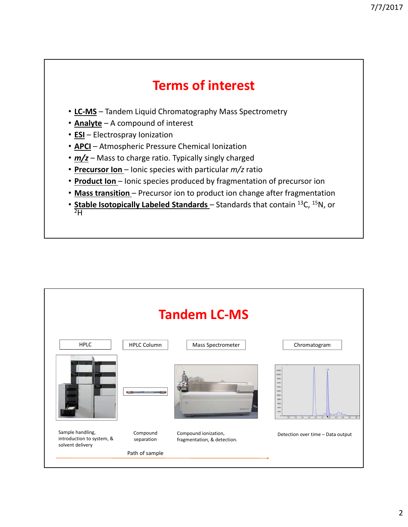## **Terms of interest**

- **LC‐MS** Tandem Liquid Chromatography Mass Spectrometry
- **Analyte** A compound of interest
- **ESI** Electrospray Ionization
- **APCI** Atmospheric Pressure Chemical Ionization
- *m/z* Mass to charge ratio. Typically singly charged
- **Precursor Ion** Ionic species with particular *m/z* ratio
- **Product Ion**  Ionic species produced by fragmentation of precursor ion
- **Mass transition** Precursor ion to product ion change after fragmentation
- **Stable Isotopically Labeled Standards**  Standards that contain 13C, 15N, or  $^{2}H$

| <b>Tandem LC-MS</b>                                               |                        |                                                     |                                                                                                                                               |
|-------------------------------------------------------------------|------------------------|-----------------------------------------------------|-----------------------------------------------------------------------------------------------------------------------------------------------|
| <b>HPLC</b>                                                       | <b>HPLC Column</b>     | Mass Spectrometer                                   | Chromatogram                                                                                                                                  |
|                                                                   |                        |                                                     | 22000<br>20000<br>10000<br>10000<br>14000<br>12000<br>tooc<br><b>DOOD</b><br>6000<br>4000<br>2000<br>40<br>25<br>20<br>30 <sup>°</sup><br>45. |
| Sample handling,<br>introduction to system, &<br>solvent delivery | Compound<br>separation | Compound ionization,<br>fragmentation, & detection. | Detection over time - Data output                                                                                                             |
|                                                                   | Path of sample         |                                                     |                                                                                                                                               |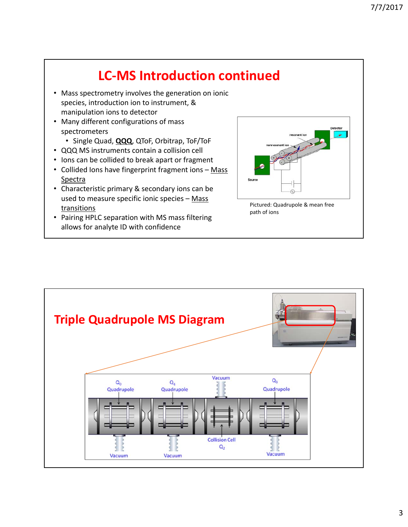## **LC‐MS Introduction continued**

- Mass spectrometry involves the generation on ionic species, introduction ion to instrument, & manipulation ions to detector
- Many different configurations of mass spectrometers
	- Single Quad, **QQQ**, QToF, Orbitrap, ToF/ToF
- QQQ MS instruments contain a collision cell
- Ions can be collided to break apart or fragment
- Collided Ions have fingerprint fragment ions Mass Spectra
- Characteristic primary & secondary ions can be used to measure specific ionic species - Mass **transitions**
- Pairing HPLC separation with MS mass filtering allows for analyte ID with confidence



path of ions

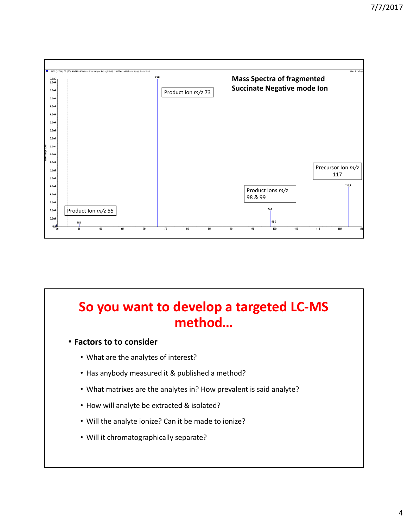

## **So you want to develop a targeted LC‐MS method…**

#### • **Factors to to consider**

- What are the analytes of interest?
- Has anybody measured it & published a method?
- What matrixes are the analytes in? How prevalent is said analyte?
- How will analyte be extracted & isolated?
- Will the analyte ionize? Can it be made to ionize?
- Will it chromatographically separate?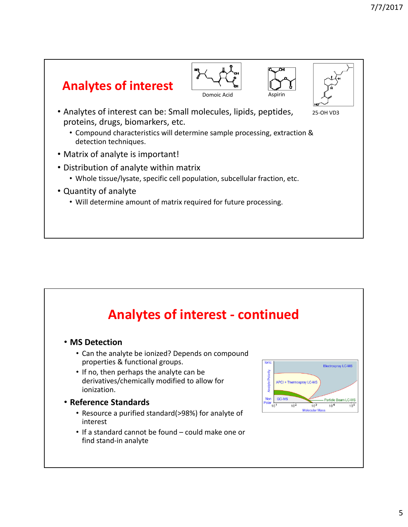







25‐OH VD3

- Analytes of interest can be: Small molecules, lipids, peptides, proteins, drugs, biomarkers, etc.
	- Compound characteristics will determine sample processing, extraction & detection techniques.
- Matrix of analyte is important!
- Distribution of analyte within matrix
	- Whole tissue/lysate, specific cell population, subcellular fraction, etc.
- Quantity of analyte
	- Will determine amount of matrix required for future processing.

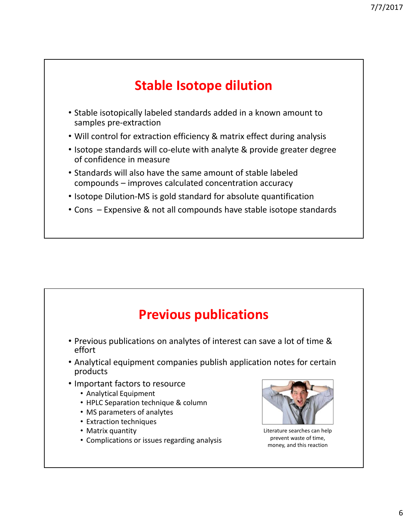## **Stable Isotope dilution**

- Stable isotopically labeled standards added in a known amount to samples pre‐extraction
- Will control for extraction efficiency & matrix effect during analysis
- Isotope standards will co-elute with analyte & provide greater degree of confidence in measure
- Standards will also have the same amount of stable labeled compounds – improves calculated concentration accuracy
- Isotope Dilution-MS is gold standard for absolute quantification
- Cons Expensive & not all compounds have stable isotope standards

### **Previous publications**

- Previous publications on analytes of interest can save a lot of time & effort
- Analytical equipment companies publish application notes for certain products
- Important factors to resource
	- Analytical Equipment
	- HPLC Separation technique & column
	- MS parameters of analytes
	- Extraction techniques
	- Matrix quantity
	- Complications or issues regarding analysis



Literature searches can help prevent waste of time, money, and this reaction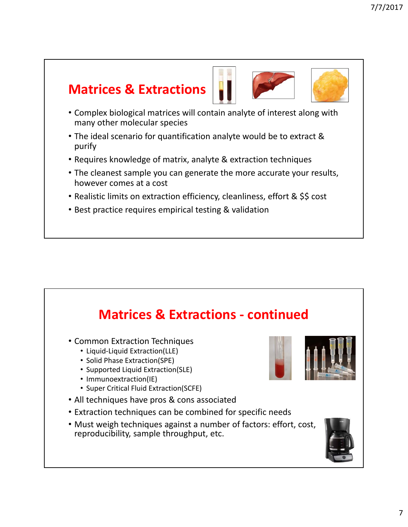## **Matrices & Extractions**



- Complex biological matrices will contain analyte of interest along with many other molecular species
- The ideal scenario for quantification analyte would be to extract & purify
- Requires knowledge of matrix, analyte & extraction techniques
- The cleanest sample you can generate the more accurate your results, however comes at a cost
- Realistic limits on extraction efficiency, cleanliness, effort & \$\$ cost
- Best practice requires empirical testing & validation

## **Matrices & Extractions ‐ continued** • Common Extraction Techniques • Liquid‐Liquid Extraction(LLE) • Solid Phase Extraction(SPE) • Supported Liquid Extraction(SLE) • Immunoextraction(IE) • Super Critical Fluid Extraction(SCFE) • All techniques have pros & cons associated • Extraction techniques can be combined for specific needs • Must weigh techniques against a number of factors: effort, cost, reproducibility, sample throughput, etc.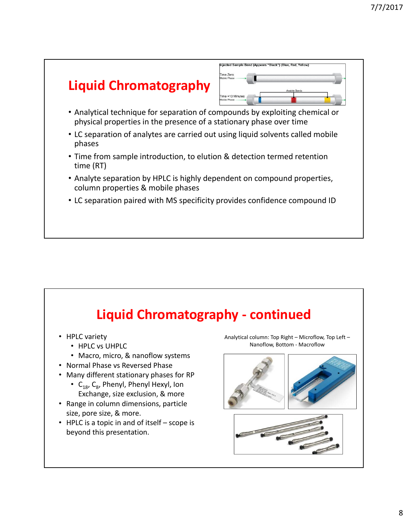#### Injected Sample Band (Appears "Black") (Blue, Red, Yello ime Zero **Liquid Chromatography** me +10 Minute • Analytical technique for separation of compounds by exploiting chemical or physical properties in the presence of a stationary phase over time • LC separation of analytes are carried out using liquid solvents called mobile phases • Time from sample introduction, to elution & detection termed retention time (RT) • Analyte separation by HPLC is highly dependent on compound properties, column properties & mobile phases • LC separation paired with MS specificity provides confidence compound ID

#### **Liquid Chromatography ‐ continued** • HPLC variety • HPLC vs UHPLC • Macro, micro, & nanoflow systems • Normal Phase vs Reversed Phase • Many different stationary phases for RP •  $C_{18}$ ,  $C_{8}$ , Phenyl, Phenyl Hexyl, Ion Exchange, size exclusion, & more • Range in column dimensions, particle size, pore size, & more. • HPLC is a topic in and of itself – scope is beyond this presentation. Analytical column: Top Right – Microflow, Top Left – Nanoflow, Bottom ‐ Macroflow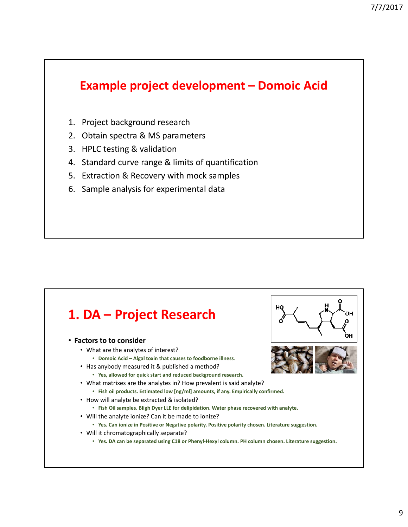#### **Example project development – Domoic Acid**

- 1. Project background research
- 2. Obtain spectra & MS parameters
- 3. HPLC testing & validation
- 4. Standard curve range & limits of quantification
- 5. Extraction & Recovery with mock samples
- 6. Sample analysis for experimental data

#### **1. DA – Project Research**

#### • **Factors to to consider**

- What are the analytes of interest?
	- **Domoic Acid Algal toxin that causes to foodborne illness**.
- Has anybody measured it & published a method?
	- **Yes, allowed for quick start and reduced background research.**
- What matrixes are the analytes in? How prevalent is said analyte?
	- **Fish oil products. Estimated low [ng/ml] amounts, if any. Empirically confirmed.**
- How will analyte be extracted & isolated?
	- **Fish Oil samples. Bligh Dyer LLE for delipidation. Water phase recovered with analyte.**
- Will the analyte ionize? Can it be made to ionize?
	- **Yes. Can ionize in Positive or Negative polarity. Positive polarity chosen. Literature suggestion.**
- Will it chromatographically separate?
	- **Yes. DA can be separated using C18 or Phenyl‐Hexyl column. PH column chosen. Literature suggestion.**



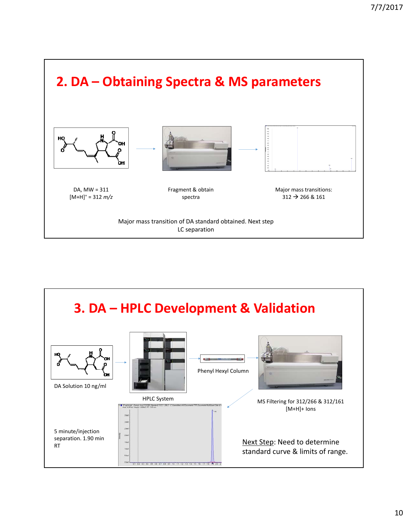

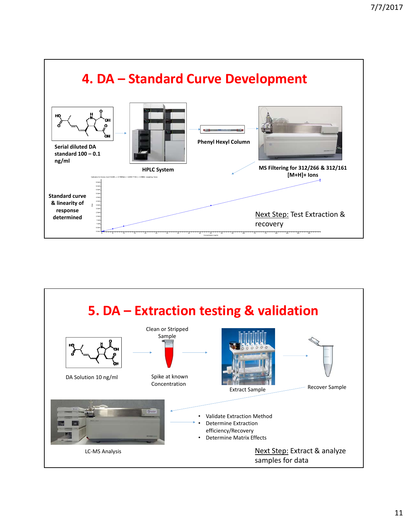

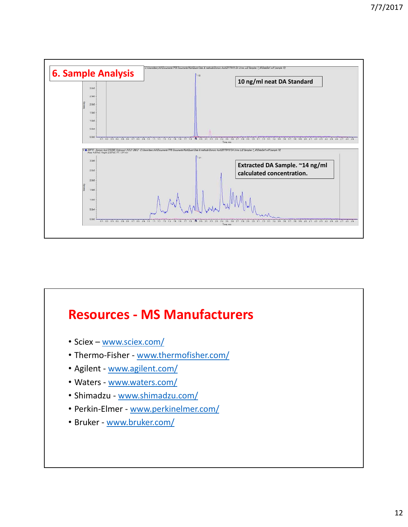

# **Resources ‐ MS Manufacturers**

- Sciex www.sciex.com/
- Thermo-Fisher www.thermofisher.com/
- Agilent www.agilent.com/
- Waters www.waters.com/
- Shimadzu ‐ www.shimadzu.com/
- Perkin-Elmer www.perkinelmer.com/
- Bruker ‐ www.bruker.com/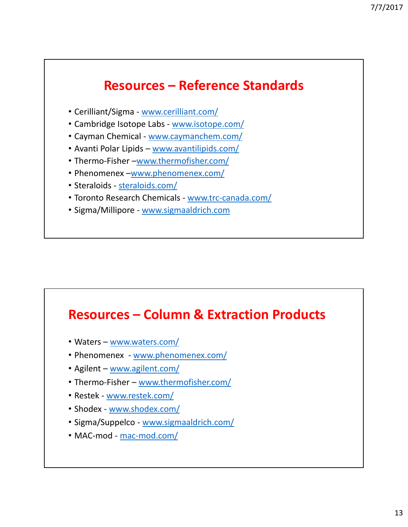## **Resources – Reference Standards**

- Cerilliant/Sigma ‐ www.cerilliant.com/
- Cambridge Isotope Labs www.isotope.com/
- Cayman Chemical ‐ www.caymanchem.com/
- Avanti Polar Lipids www.avantilipids.com/
- Thermo‐Fisher –www.thermofisher.com/
- Phenomenex –www.phenomenex.com/
- Steraloids steraloids.com/
- Toronto Research Chemicals ‐ www.trc‐canada.com/
- Sigma/Millipore ‐ www.sigmaaldrich.com

#### **Resources – Column & Extraction Products**

- Waters www.waters.com/
- Phenomenex ‐ www.phenomenex.com/
- Agilent www.agilent.com/
- Thermo-Fisher www.thermofisher.com/
- Restek ‐ www.restek.com/
- Shodex www.shodex.com/
- Sigma/Suppelco www.sigmaaldrich.com/
- MAC-mod mac-mod.com/